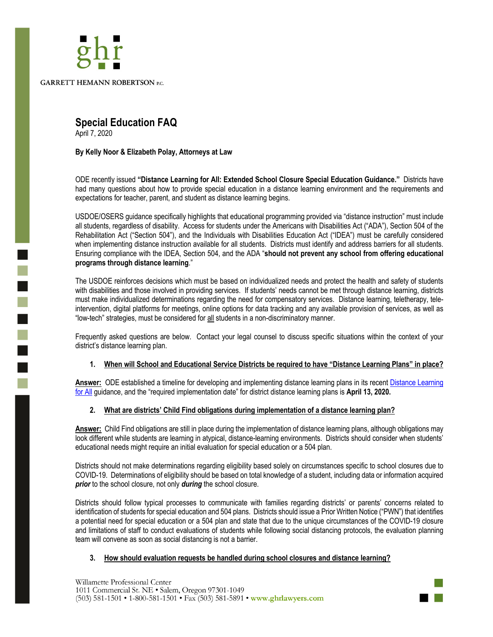

# **Special Education FAQ**

April 7, 2020

٦

## **By Kelly Noor & Elizabeth Polay, Attorneys at Law**

ODE recently issued **"Distance Learning for All: Extended School Closure Special Education Guidance."** Districts have had many questions about how to provide special education in a distance learning environment and the requirements and expectations for teacher, parent, and student as distance learning begins.

USDOE/OSERS guidance specifically highlights that educational programming provided via "distance instruction" must include all students, regardless of disability. Access for students under the Americans with Disabilities Act ("ADA"), Section 504 of the Rehabilitation Act ("Section 504"), and the Individuals with Disabilities Education Act ("IDEA") must be carefully considered when implementing distance instruction available for all students. Districts must identify and address barriers for all students. Ensuring compliance with the IDEA, Section 504, and the ADA "**should not prevent any school from offering educational programs through distance learning**."

The USDOE reinforces decisions which must be based on individualized needs and protect the health and safety of students with disabilities and those involved in providing services. If students' needs cannot be met through distance learning, districts must make individualized determinations regarding the need for compensatory services. Distance learning, teletherapy, teleintervention, digital platforms for meetings, online options for data tracking and any available provision of services, as well as "low-tech" strategies, must be considered for all students in a non-discriminatory manner.

Frequently asked questions are below. Contact your legal counsel to discuss specific situations within the context of your district's distance learning plan.

# **1. When will School and Educational Service Districts be required to have "Distance Learning Plans" in place?**

**Answer:** ODE established a timeline for developing and implementing distance learning plans in its recent Distance Learning for All guidance, and the "required implementation date" for district distance learning plans is **April 13, 2020.**

# **2. What are districts' Child Find obligations during implementation of a distance learning plan?**

**Answer:** Child Find obligations are still in place during the implementation of distance learning plans, although obligations may look different while students are learning in atypical, distance-learning environments. Districts should consider when students' educational needs might require an initial evaluation for special education or a 504 plan.

Districts should not make determinations regarding eligibility based solely on circumstances specific to school closures due to COVID-19. Determinations of eligibility should be based on total knowledge of a student, including data or information acquired *prior* to the school closure, not only *during* the school closure.

Districts should follow typical processes to communicate with families regarding districts' or parents' concerns related to identification of students for special education and 504 plans. Districts should issue a Prior Written Notice ("PWN") that identifies a potential need for special education or a 504 plan and state that due to the unique circumstances of the COVID-19 closure and limitations of staff to conduct evaluations of students while following social distancing protocols, the evaluation planning team will convene as soon as social distancing is not a barrier.

#### **3. How should evaluation requests be handled during school closures and distance learning?**

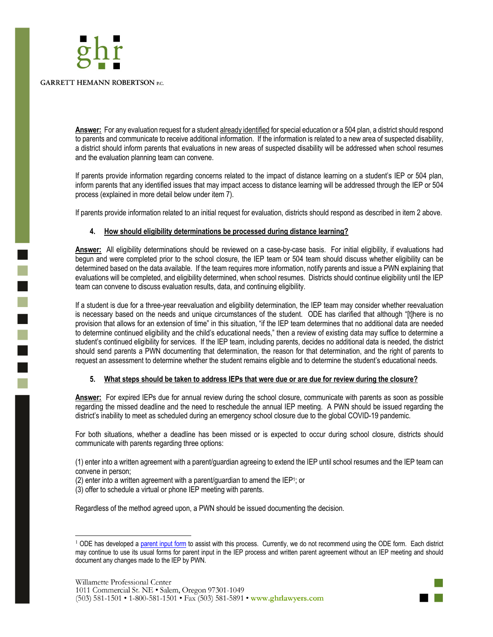

F.

**Answer:** For any evaluation request for a student already identified for special education or a 504 plan, a district should respond to parents and communicate to receive additional information. If the information is related to a new area of suspected disability, a district should inform parents that evaluations in new areas of suspected disability will be addressed when school resumes and the evaluation planning team can convene.

If parents provide information regarding concerns related to the impact of distance learning on a student's IEP or 504 plan, inform parents that any identified issues that may impact access to distance learning will be addressed through the IEP or 504 process (explained in more detail below under item 7).

If parents provide information related to an initial request for evaluation, districts should respond as described in item 2 above.

# **4. How should eligibility determinations be processed during distance learning?**

**Answer:** All eligibility determinations should be reviewed on a case-by-case basis. For initial eligibility, if evaluations had begun and were completed prior to the school closure, the IEP team or 504 team should discuss whether eligibility can be determined based on the data available. If the team requires more information, notify parents and issue a PWN explaining that evaluations will be completed, and eligibility determined, when school resumes. Districts should continue eligibility until the IEP team can convene to discuss evaluation results, data, and continuing eligibility.

If a student is due for a three-year reevaluation and eligibility determination, the IEP team may consider whether reevaluation is necessary based on the needs and unique circumstances of the student. ODE has clarified that although "[t]here is no provision that allows for an extension of time" in this situation, "if the IEP team determines that no additional data are needed to determine continued eligibility and the child's educational needs," then a review of existing data may suffice to determine a student's continued eligibility for services. If the IEP team, including parents, decides no additional data is needed, the district should send parents a PWN documenting that determination, the reason for that determination, and the right of parents to request an assessment to determine whether the student remains eligible and to determine the student's educational needs.

# **5. What steps should be taken to address IEPs that were due or are due for review during the closure?**

**Answer:** For expired IEPs due for annual review during the school closure, communicate with parents as soon as possible regarding the missed deadline and the need to reschedule the annual IEP meeting. A PWN should be issued regarding the district's inability to meet as scheduled during an emergency school closure due to the global COVID-19 pandemic.

For both situations, whether a deadline has been missed or is expected to occur during school closure, districts should communicate with parents regarding three options:

(1) enter into a written agreement with a parent/guardian agreeing to extend the IEP until school resumes and the IEP team can convene in person;

- (2) enter into a written agreement with a parent/guardian to amend the IEP1; or
- (3) offer to schedule a virtual or phone IEP meeting with parents.

Regardless of the method agreed upon, a PWN should be issued documenting the decision.



<sup>&</sup>lt;sup>1</sup> ODE has developed a parent input form to assist with this process. Currently, we do not recommend using the ODE form. Each district may continue to use its usual forms for parent input in the IEP process and written parent agreement without an IEP meeting and should document any changes made to the IEP by PWN.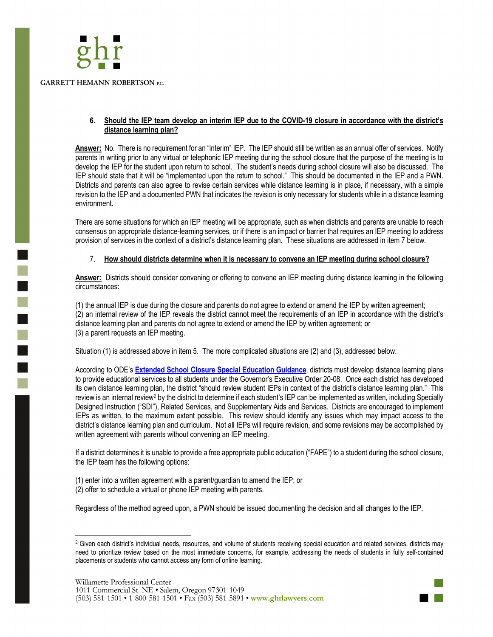

## **6. Should the IEP team develop an interim IEP due to the COVID-19 closure in accordance with the district's distance learning plan?**

**Answer:** No. There is no requirement for an "interim" IEP. The IEP should still be written as an annual offer of services. Notify parents in writing prior to any virtual or telephonic IEP meeting during the school closure that the purpose of the meeting is to develop the IEP for the student upon return to school. The student's needs during school closure will also be discussed. The IEP should state that it will be "implemented upon the return to school." This should be documented in the IEP and a PWN. Districts and parents can also agree to revise certain services while distance learning is in place, if necessary, with a simple revision to the IEP and a documented PWN that indicates the revision is only necessary for students while in a distance learning environment.

There are some situations for which an IEP meeting will be appropriate, such as when districts and parents are unable to reach consensus on appropriate distance-learning services, or if there is an impact or barrier that requires an IEP meeting to address provision of services in the context of a district's distance learning plan. These situations are addressed in item 7 below.

# 7. **How should districts determine when it is necessary to convene an IEP meeting during school closure?**

**Answer:** Districts should consider convening or offering to convene an IEP meeting during distance learning in the following circumstances:

(1) the annual IEP is due during the closure and parents do not agree to extend or amend the IEP by written agreement; (2) an internal review of the IEP reveals the district cannot meet the requirements of an IEP in accordance with the district's distance learning plan and parents do not agree to extend or amend the IEP by written agreement; or (3) a parent requests an IEP meeting.

Situation (1) is addressed above in item 5. The more complicated situations are (2) and (3), addressed below.

According to ODE's **Extended School Closure Special Education Guidance**, districts must develop distance learning plans to provide educational services to all students under the Governor's Executive Order 20-08. Once each district has developed its own distance learning plan, the district "should review student IEPs in context of the district's distance learning plan." This review is an internal review<sup>2</sup> by the district to determine if each student's IEP can be implemented as written, including Specially Designed Instruction ("SDI"), Related Services, and Supplementary Aids and Services. Districts are encouraged to implement IEPs as written, to the maximum extent possible. This review should identify any issues which may impact access to the district's distance learning plan and curriculum. Not all IEPs will require revision, and some revisions may be accomplished by written agreement with parents without convening an IEP meeting.

If a district determines it is unable to provide a free appropriate public education ("FAPE") to a student during the school closure, the IEP team has the following options:

(1) enter into a written agreement with a parent/guardian to amend the IEP; or (2) offer to schedule a virtual or phone IEP meeting with parents.

Regardless of the method agreed upon, a PWN should be issued documenting the decision and all changes to the IEP.



<sup>&</sup>lt;sup>2</sup> Given each district's individual needs, resources, and volume of students receiving special education and related services, districts may need to prioritize review based on the most immediate concerns, for example, addressing the needs of students in fully self-contained placements or students who cannot access any form of online learning.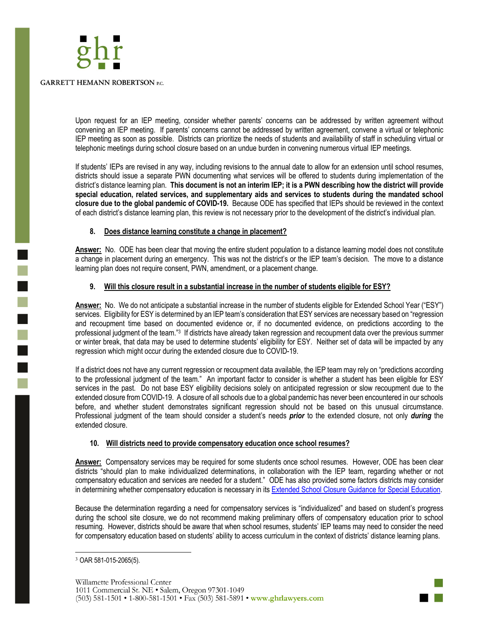

Upon request for an IEP meeting, consider whether parents' concerns can be addressed by written agreement without convening an IEP meeting. If parents' concerns cannot be addressed by written agreement, convene a virtual or telephonic IEP meeting as soon as possible. Districts can prioritize the needs of students and availability of staff in scheduling virtual or telephonic meetings during school closure based on an undue burden in convening numerous virtual IEP meetings.

If students' IEPs are revised in any way, including revisions to the annual date to allow for an extension until school resumes, districts should issue a separate PWN documenting what services will be offered to students during implementation of the district's distance learning plan. **This document is not an interim IEP; it is a PWN describing how the district will provide special education, related services, and supplementary aids and services to students during the mandated school closure due to the global pandemic of COVID-19.** Because ODE has specified that IEPs should be reviewed in the context of each district's distance learning plan, this review is not necessary prior to the development of the district's individual plan.

## **8. Does distance learning constitute a change in placement?**

**Answer:** No. ODE has been clear that moving the entire student population to a distance learning model does not constitute a change in placement during an emergency. This was not the district's or the IEP team's decision. The move to a distance learning plan does not require consent, PWN, amendment, or a placement change.

## **9. Will this closure result in a substantial increase in the number of students eligible for ESY?**

**Answer:** No. We do not anticipate a substantial increase in the number of students eligible for Extended School Year ("ESY") services. Eligibility for ESY is determined by an IEP team's consideration that ESY services are necessary based on "regression and recoupment time based on documented evidence or, if no documented evidence, on predictions according to the professional judgment of the team."3 If districts have already taken regression and recoupment data over the previous summer or winter break, that data may be used to determine students' eligibility for ESY. Neither set of data will be impacted by any regression which might occur during the extended closure due to COVID-19.

If a district does not have any current regression or recoupment data available, the IEP team may rely on "predictions according to the professional judgment of the team." An important factor to consider is whether a student has been eligible for ESY services in the past. Do not base ESY eligibility decisions solely on anticipated regression or slow recoupment due to the extended closure from COVID-19. A closure of all schools due to a global pandemic has never been encountered in our schools before, and whether student demonstrates significant regression should not be based on this unusual circumstance. Professional judgment of the team should consider a student's needs *prior* to the extended closure, not only *during* the extended closure.

#### **10. Will districts need to provide compensatory education once school resumes?**

**Answer:** Compensatory services may be required for some students once school resumes. However, ODE has been clear districts "should plan to make individualized determinations, in collaboration with the IEP team, regarding whether or not compensatory education and services are needed for a student." ODE has also provided some factors districts may consider in determining whether compensatory education is necessary in its Extended School Closure Guidance for Special Education.

Because the determination regarding a need for compensatory services is "individualized" and based on student's progress during the school site closure, we do not recommend making preliminary offers of compensatory education prior to school resuming. However, districts should be aware that when school resumes, students' IEP teams may need to consider the need for compensatory education based on students' ability to access curriculum in the context of districts' distance learning plans.



<sup>3</sup> OAR 581-015-2065(5).